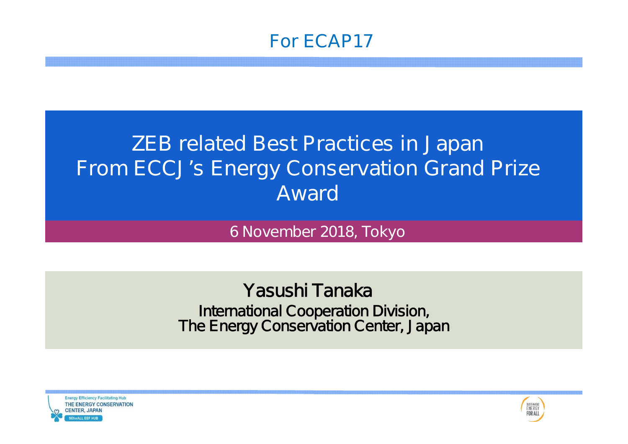

# **ZEB related Best Practices in Japan From ECCJ's Energy Conservation Grand Prize Award**

**6 November 2018, Tokyo**

International Cooperation Division, The Energy Conservation Center, Japan Yasushi Tanaka



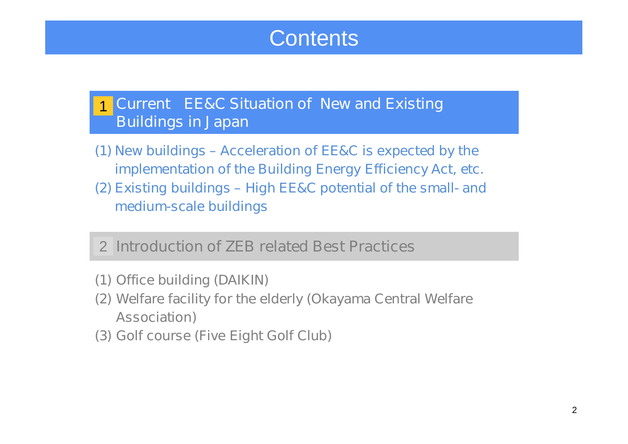# **Contents**

#### **Current EE&C Situation of New and Existing Buildings in Japan** 1

- **(1) New buildings – Acceleration of EE&C is expected by the implementation of the Building Energy Efficiency Act, etc.**
- **(2) Existing buildings – High EE&C potential of the small- and medium-scale buildings**

### **Introduction of ZEB related Best Practices** 2

- **(1) Office building (DAIKIN)**
- **(2) Welfare facility for the elderly (Okayama Central Welfare Association)**
- **(3) Golf course (Five Eight Golf Club)**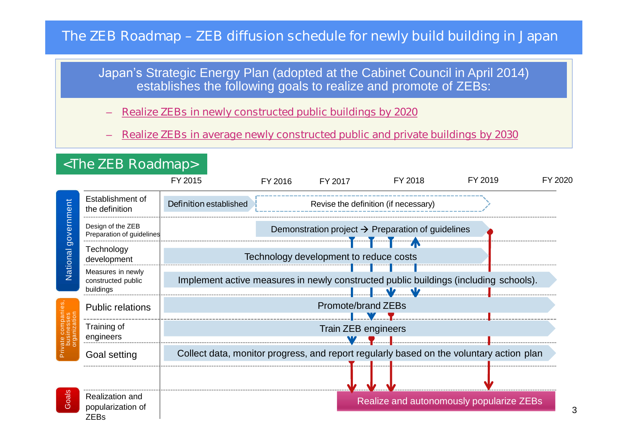#### **The ZEB Roadmap – ZEB diffusion schedule for newly build building in Japan**

Japan's Strategic Energy Plan (adopted at the Cabinet Council in April 2014) establishes the following goals to realize and promote of ZEBs:

– **Realize ZEBs in newly constructed public buildings by 2020**

– **Realize ZEBs in average newly constructed public and private buildings by 2030**

|                        | <the roadmap="" zeb=""></the>                        |                                                                                                                                |         |                    |                                                               |         |         |  |
|------------------------|------------------------------------------------------|--------------------------------------------------------------------------------------------------------------------------------|---------|--------------------|---------------------------------------------------------------|---------|---------|--|
|                        |                                                      | FY 2015                                                                                                                        | FY 2016 | FY 2017            | FY 2018                                                       | FY 2019 | FY 2020 |  |
| government<br>National | Establishment of<br>the definition                   | <b>Definition established</b>                                                                                                  |         |                    | Revise the definition (if necessary)                          |         |         |  |
|                        | Design of the ZEB<br>Preparation of guidelines       |                                                                                                                                |         |                    | Demonstration project $\rightarrow$ Preparation of guidelines |         |         |  |
|                        | Technology<br>development                            | Technology development to reduce costs<br>Implement active measures in newly constructed public buildings (including schools). |         |                    |                                                               |         |         |  |
|                        | Measures in newly<br>constructed public<br>buildings |                                                                                                                                |         |                    |                                                               |         |         |  |
|                        | <b>Public relations</b>                              |                                                                                                                                |         | Promote/brand ZEBs |                                                               |         |         |  |
|                        | Training of<br>engineers                             | Train ZEB engineers                                                                                                            |         |                    |                                                               |         |         |  |
|                        | Goal setting                                         | Collect data, monitor progress, and report regularly based on the voluntary action plan                                        |         |                    |                                                               |         |         |  |
|                        |                                                      |                                                                                                                                |         |                    |                                                               |         |         |  |
| oals<br>$\sigma$       | Realization and<br>popularization of<br><b>ZEBs</b>  |                                                                                                                                |         |                    | Realize and autonomously popularize ZEBs                      |         |         |  |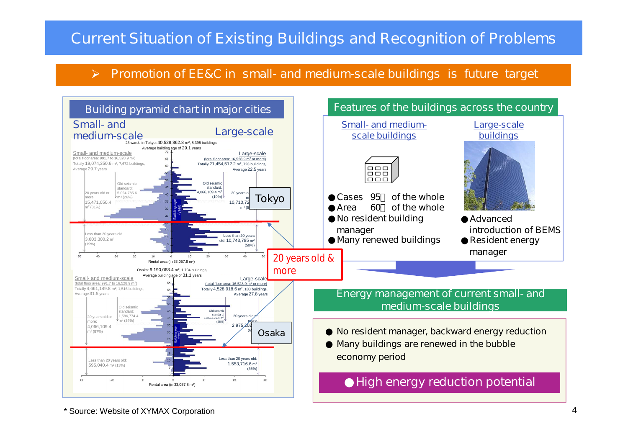#### **Current Situation of Existing Buildings and Recognition of Problems**

#### **Promotion of EE&C in small- and medium-scale buildings is future target**  $\blacktriangleright$

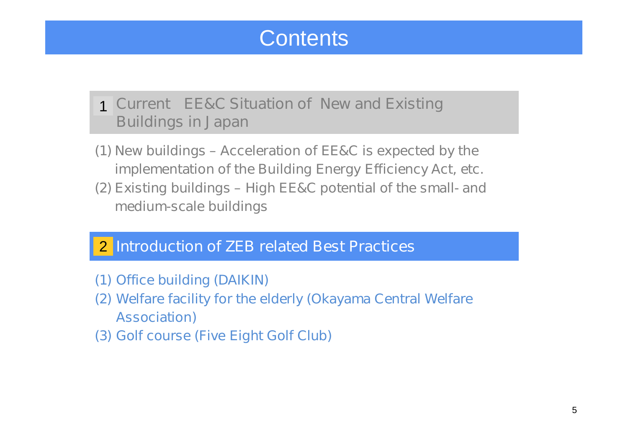# **Contents**

### **Current EE&C Situation of New and Existing** 1 **Buildings in Japan**

- **(1) New buildings – Acceleration of EE&C is expected by the implementation of the Building Energy Efficiency Act, etc.**
- **(2) Existing buildings – High EE&C potential of the small- and medium-scale buildings**

### **Introduction of ZEB related Best Practices** 2

- **(1) Office building (DAIKIN)**
- **(2) Welfare facility for the elderly (Okayama Central Welfare Association)**
- **(3) Golf course (Five Eight Golf Club)**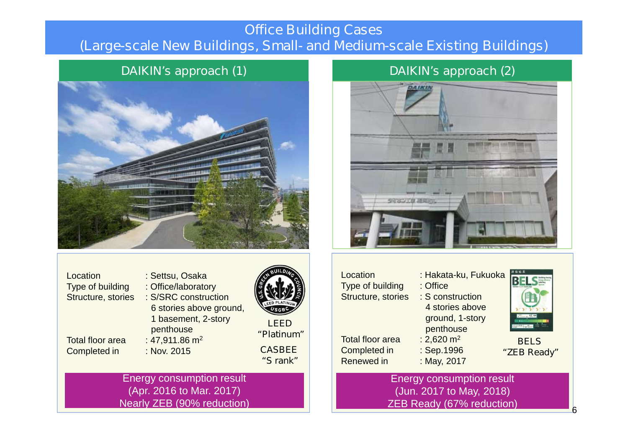#### **Office Building Cases (Large-scale New Buildings, Small- and Medium-scale Existing Buildings)**



Location : Settsu, Osaka Type of building : Office/laboratory Structure, stories : S/SRC construction 6 stories above ground, 1 basement, 2-story penthouse Total floor area  $\therefore$  47,911.86 m<sup>2</sup> Completed in : Nov. 2015 **LEED "Platinum"** Energy consumption result (Apr. 2016 to Mar. 2017) **"S rank"**

Nearly ZEB (90% reduction)

#### **DAIKIN's approach (1) DAIKIN's approach (2)**



| <b>LEED</b><br>"Platinum"<br><b>CASBEE</b><br>"S rank" | Location<br>Type of building<br>Structure, stories<br><b>Total floor area</b><br>Completed in<br>Renewed in | : Hakata-ku, Fukuoka<br>: Office<br>: S construction<br>4 stories above<br>ground, 1-story<br>penthouse<br>: 2,620 $m2$<br>: Sep.1996<br>: May, 2017 | <b>BELS</b><br>"ZEB Ready" |
|--------------------------------------------------------|-------------------------------------------------------------------------------------------------------------|------------------------------------------------------------------------------------------------------------------------------------------------------|----------------------------|
|                                                        |                                                                                                             | <b>Energy consumption result</b>                                                                                                                     |                            |

(Jun. 2017 to May, 2018) ZEB Ready (67% reduction)



6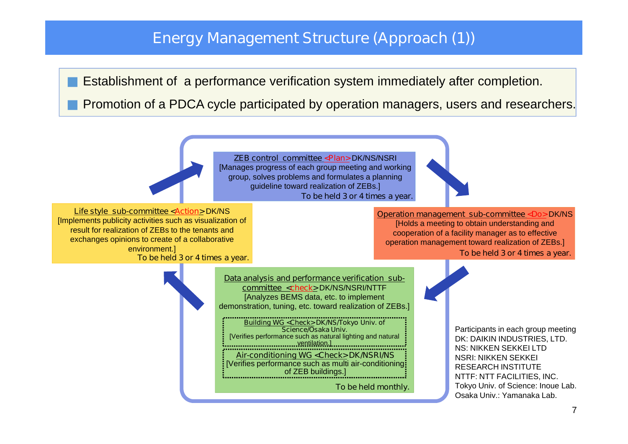#### **Energy Management Structure (Approach (1))**

Establishment of a performance verification system immediately after completion.

Promotion of a PDCA cycle participated by operation managers, users and researchers.

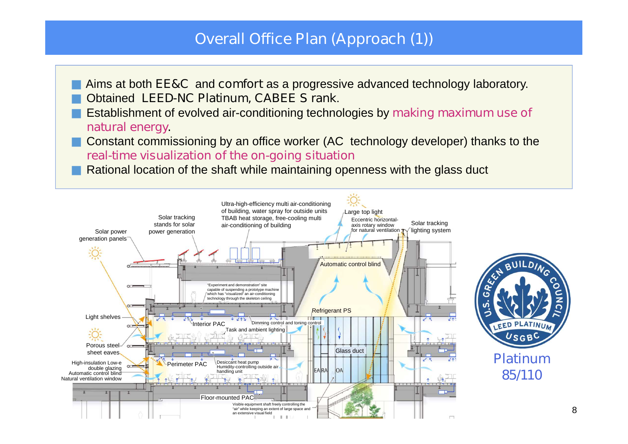### **Overall Office Plan (Approach (1))**

Aims at both **EE&C** and **comfort** as a progressive advanced technology laboratory. Obtained **LEED-NC Platinum, CABEE S rank**.

Establishment of evolved air-conditioning technologies by **making maximum use of natural energy.**

Constant commissioning by an office worker (AC technology developer) thanks to the **real-time visualization of the on-going situation**

Rational location of the shaft while maintaining openness with the glass duct

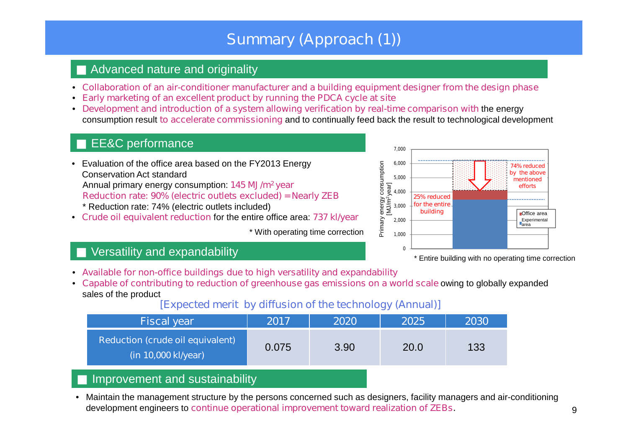### **Summary (Approach (1))**

#### Advanced nature and originality

- **Collaboration of an air-conditioner manufacturer and a building equipment designer from the design phase**
- **Early marketing of an excellent product by running the PDCA cycle at site**
- **Development and introduction of a system allowing verification by real-time comparison with** the energy consumption result **to accelerate commissioning** and to continually feed back the result to technological development

#### EE&C performance

- Evaluation of the office area based on the FY2013 Energy Conservation Act standard Annual primary energy consumption: **145 MJ/m<sup>2</sup> year Reduction rate: 90% (electric outlets excluded) = Nearly ZEB** \* Reduction rate: 74% (electric outlets included)
- **Crude oil equivalent reduction** for the entire office area: **737 kl/year**

\* With operating time correction



\* Entire building with no operating time correction

#### Versatility and expandability

- **Available for non-office buildings due to high versatility and expandability**
- **Capable of contributing to reduction of greenhouse gas emissions on a world scale** owing to globally expanded sales of the product

#### **[Expected merit by diffusion of the technology (Annual)]**

| <b>Fiscal year</b>                                             | 2017  | 2020 | 2025 | 2030 |
|----------------------------------------------------------------|-------|------|------|------|
| <b>Reduction (crude oil equivalent)</b><br>(in 10,000 kl/year) | 0.075 | 3.90 | 20.0 | 133  |

#### Improvement and sustainability

• Maintain the management structure by the persons concerned such as designers, facility managers and air-conditioning development engineers to **continue operational improvement toward realization of ZEBs.**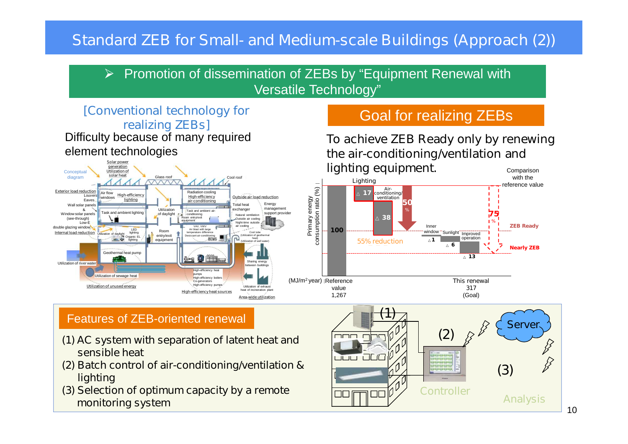### **Standard ZEB for Small- and Medium-scale Buildings (Approach (2))**

Promotion of dissemination of ZEBs by "Equipment Renewal with  $\blacktriangleright$ Versatile Technology"

#### **[Conventional technology for realizing ZEBs]** Difficulty because of many required element technologies



### Goal for realizing ZEBs

**To achieve ZEB Ready only by renewing the air-conditioning/ventilation and lighting equipment.** Comparison



#### Features of ZEB-oriented renewal

- **(1) AC system with separation of latent heat and sensible heat**
- **(2) Batch control of air-conditioning/ventilation & lighting**
- **(3) Selection of optimum capacity by a remote monitoring system**

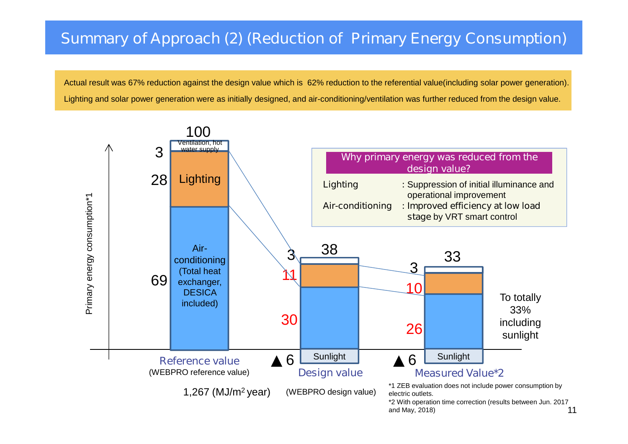### **Summary of Approach (2) (Reduction of Primary Energy Consumption)**

Actual result was 67% reduction against the design value which is 62% reduction to the referential value(including solar power generation). Lighting and solar power generation were as initially designed, and air-conditioning/ventilation was further reduced from the design value.

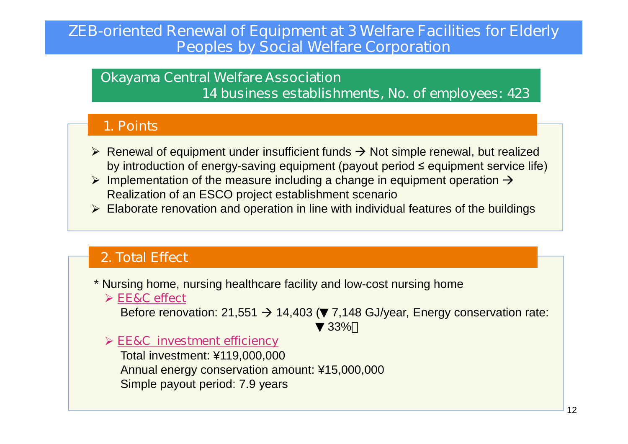#### **ZEB-oriented Renewal of Equipment at 3 Welfare Facilities for Elderly Peoples by Social Welfare Corporation**

#### **Okayama Central Welfare Association 14 business establishments, No. of employees: 423**

#### **1. Points**

- $\triangleright$  Renewal of equipment under insufficient funds  $\rightarrow$  Not simple renewal, but realized by introduction of energy-saving equipment (payout period ≤ equipment service life)
- $\triangleright$  Implementation of the measure including a change in equipment operation  $\rightarrow$ Realization of an ESCO project establishment scenario
- $\triangleright$  Elaborate renovation and operation in line with individual features of the buildings

#### **2. Total Effect**

- \* Nursing home, nursing healthcare facility and low-cost nursing home
	- **EE&C effect**

Before renovation: 21,551  $\rightarrow$  14,403 ( 7,148 GJ/year, Energy conservation rate: 33%

**EE&C investment efficiency**

Total investment: ¥119,000,000 Annual energy conservation amount: ¥15,000,000 Simple payout period: 7.9 years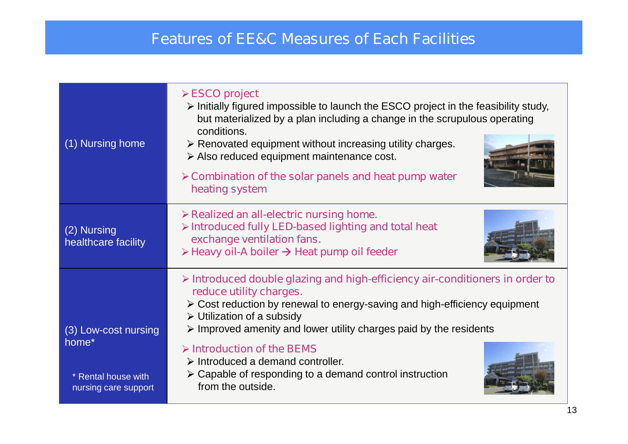### **Features of EE&C Measures of Each Facilities**

| (1) Nursing home                                                             | $\triangleright$ ESCO project<br>$\triangleright$ Initially figured impossible to launch the ESCO project in the feasibility study,<br>but materialized by a plan including a change in the scrupulous operating<br>conditions.<br>$\triangleright$ Renovated equipment without increasing utility charges.<br>> Also reduced equipment maintenance cost.<br>$\triangleright$ Combination of the solar panels and heat pump water<br>heating system                                                                                                   |  |  |  |
|------------------------------------------------------------------------------|-------------------------------------------------------------------------------------------------------------------------------------------------------------------------------------------------------------------------------------------------------------------------------------------------------------------------------------------------------------------------------------------------------------------------------------------------------------------------------------------------------------------------------------------------------|--|--|--|
| (2) Nursing<br>healthcare facility                                           | $\triangleright$ Realized an all-electric nursing home.<br>> Introduced fully LED-based lighting and total heat<br>exchange ventilation fans.<br>$\triangleright$ Heavy oil-A boiler $\rightarrow$ Heat pump oil feeder                                                                                                                                                                                                                                                                                                                               |  |  |  |
| (3) Low-cost nursing<br>home*<br>* Rental house with<br>nursing care support | $\triangleright$ Introduced double glazing and high-efficiency air-conditioners in order to<br>reduce utility charges.<br>$\triangleright$ Cost reduction by renewal to energy-saving and high-efficiency equipment<br>$\triangleright$ Utilization of a subsidy<br>$\triangleright$ Improved amenity and lower utility charges paid by the residents<br>$\triangleright$ Introduction of the BEMS<br>$\triangleright$ Introduced a demand controller.<br>$\triangleright$ Capable of responding to a demand control instruction<br>from the outside. |  |  |  |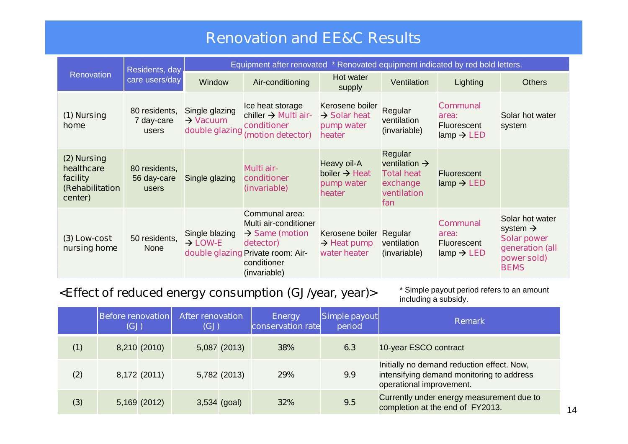### **Renovation and EE&C Results**

|                                                                     | Residents, day<br>care users/day      | Equipment after renovated * Renovated equipment indicated by red bold letters. |                                                                                                                                                        |                                                                     |                                                                                             |                                                                                     |                                                                                                                |  |  |
|---------------------------------------------------------------------|---------------------------------------|--------------------------------------------------------------------------------|--------------------------------------------------------------------------------------------------------------------------------------------------------|---------------------------------------------------------------------|---------------------------------------------------------------------------------------------|-------------------------------------------------------------------------------------|----------------------------------------------------------------------------------------------------------------|--|--|
| <b>Renovation</b>                                                   |                                       | Window                                                                         | Air-conditioning                                                                                                                                       | Hot water<br>supply                                                 | Ventilation                                                                                 | Lighting                                                                            | <b>Others</b>                                                                                                  |  |  |
| (1) Nursing<br>home                                                 | 80 residents,<br>7 day-care<br>users  | Single glazing<br>$\rightarrow$ Vacuum<br>double glazing                       | Ice heat storage<br>chiller $\rightarrow$ Multi air-<br>conditioner<br>(motion detector)                                                               | Kerosene boiler<br>$\rightarrow$ Solar heat<br>pump water<br>heater | Regular<br>ventilation<br>(invariable)                                                      | <b>Communal</b><br>area:<br>Fluorescent<br>lamp $\rightarrow$ LED                   | Solar hot water<br>system                                                                                      |  |  |
| (2) Nursing<br>healthcare<br>facility<br>(Rehabilitation<br>center) | 80 residents,<br>56 day-care<br>users | Single glazing                                                                 | Multi air-<br>conditioner<br>(invariable)                                                                                                              | Heavy oil-A<br>boiler $\rightarrow$ Heat<br>pump water<br>heater    | Regular<br>ventilation $\rightarrow$<br><b>Total heat</b><br>exchange<br>ventilation<br>fan | <b>Fluorescent</b><br>lamp $\rightarrow$ LED                                        |                                                                                                                |  |  |
| (3) Low-cost<br>nursing home                                        | 50 residents,<br><b>None</b>          | Single blazing<br>$\rightarrow$ LOW-E                                          | Communal area:<br>Multi air-conditioner<br>$\rightarrow$ Same (motion<br>detector)<br>double glazing Private room: Air-<br>conditioner<br>(invariable) | Kerosene boiler Regular<br>$\rightarrow$ Heat pump<br>water heater  | ventilation<br>(invariable)                                                                 | <b>Communal</b><br>area:<br>Fluorescent<br>$\mathsf{lamp} \rightarrow \mathsf{LED}$ | Solar hot water<br>system $\rightarrow$<br><b>Solar power</b><br>generation (all<br>power sold)<br><b>BEMS</b> |  |  |

#### **<Effect of reduced energy consumption (GJ/year, year)>**

\* Simple payout period refers to an amount including a subsidy.

|     | <b>Before renovation</b><br>(GJ) |                | <b>After renovation</b><br>(GJ) |                | <b>Energy</b><br>conservation rate | Simple payout<br>period | <b>Remark</b>                                                                                                       |
|-----|----------------------------------|----------------|---------------------------------|----------------|------------------------------------|-------------------------|---------------------------------------------------------------------------------------------------------------------|
| (1) |                                  | 8,210 (2010)   |                                 | 5,087 (2013)   | 38%                                | 6.3                     | 10-year ESCO contract                                                                                               |
| (2) |                                  | 8,172 (2011)   |                                 | 5,782 (2013)   | 29%                                | 9.9                     | Initially no demand reduction effect. Now,<br>intensifying demand monitoring to address<br>operational improvement. |
| (3) |                                  | $5,169$ (2012) |                                 | $3,534$ (goal) | 32%                                | 9.5                     | Currently under energy measurement due to<br>completion at the end of FY2013.                                       |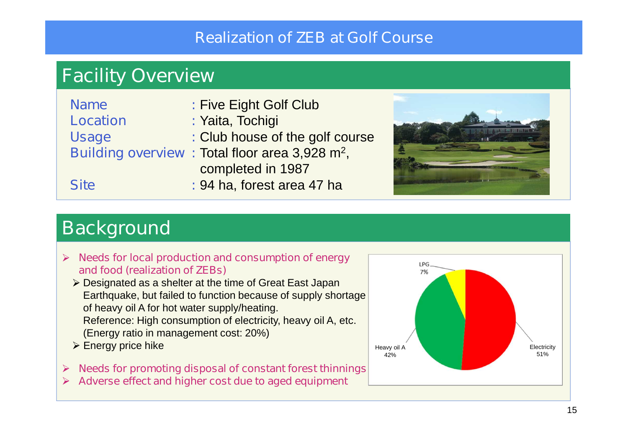### **Realization of ZEB at Golf Course**

# **Facility Overview**

| <b>Name</b>     | : Five Eight Golf Club                                     |
|-----------------|------------------------------------------------------------|
| <b>Location</b> | : Yaita, Tochigi                                           |
| <b>Usage</b>    | : Club house of the golf course                            |
|                 | Building overview: Total floor area 3,928 m <sup>2</sup> , |
|                 | completed in 1987                                          |
| <b>Site</b>     | : 94 ha, forest area 47 ha                                 |



## **Background**

- **Needs for local production and consumption of energy and food (realization of ZEBs)**
	- ▶ Designated as a shelter at the time of Great East Japan Earthquake, but failed to function because of supply shortage of heavy oil A for hot water supply/heating. Reference: High consumption of electricity, heavy oil A, etc. (Energy ratio in management cost: 20%)
	- $\triangleright$  Energy price hike
- **Needs for promoting disposal of constant forest thinnings** ➤
- **Adverse effect and higher cost due to aged equipment**

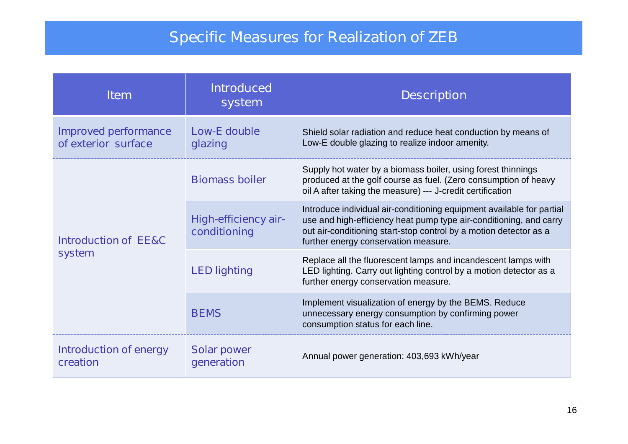### **Specific Measures for Realization of ZEB**

| <b>Item</b>                                        | <b>Introduced</b><br><b>system</b>          | <b>Description</b>                                                                                                                                                                                                                                       |  |  |
|----------------------------------------------------|---------------------------------------------|----------------------------------------------------------------------------------------------------------------------------------------------------------------------------------------------------------------------------------------------------------|--|--|
| <b>Improved performance</b><br>of exterior surface | <b>Low-E double</b><br>glazing              | Shield solar radiation and reduce heat conduction by means of<br>Low-E double glazing to realize indoor amenity.                                                                                                                                         |  |  |
|                                                    | <b>Biomass boiler</b>                       | Supply hot water by a biomass boiler, using forest thinnings<br>produced at the golf course as fuel. (Zero consumption of heavy<br>oil A after taking the measure) --- J-credit certification                                                            |  |  |
| <b>Introduction of EE&amp;C</b>                    | <b>High-efficiency air-</b><br>conditioning | Introduce individual air-conditioning equipment available for partial<br>use and high-efficiency heat pump type air-conditioning, and carry<br>out air-conditioning start-stop control by a motion detector as a<br>further energy conservation measure. |  |  |
| system                                             | <b>LED lighting</b>                         | Replace all the fluorescent lamps and incandescent lamps with<br>LED lighting. Carry out lighting control by a motion detector as a<br>further energy conservation measure.                                                                              |  |  |
|                                                    | <b>BEMS</b>                                 | Implement visualization of energy by the BEMS. Reduce<br>unnecessary energy consumption by confirming power<br>consumption status for each line.                                                                                                         |  |  |
| <b>Introduction of energy</b><br>creation          | <b>Solar power</b><br>generation            | Annual power generation: 403,693 kWh/year                                                                                                                                                                                                                |  |  |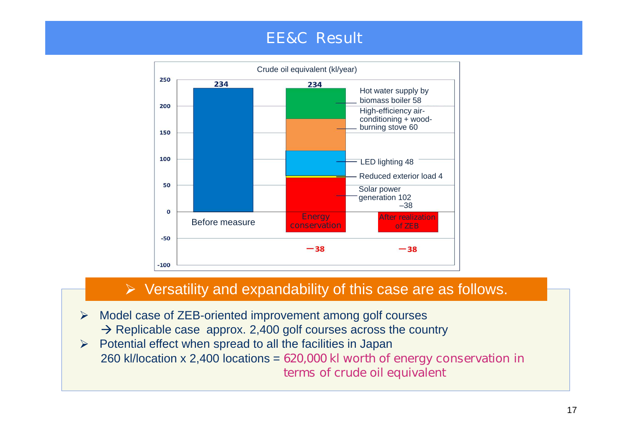### **EE&C Result**



#### $\triangleright$  Versatility and expandability of this case are as follows.

- $\blacktriangleright$ Model case of ZEB-oriented improvement among golf courses  $\rightarrow$  Replicable case approx. 2,400 golf courses across the country
- $\triangleright$  Potential effect when spread to all the facilities in Japan 260 kl/location x 2,400 locations = **620,000 kl worth of energy conservation in terms of crude oil equivalent**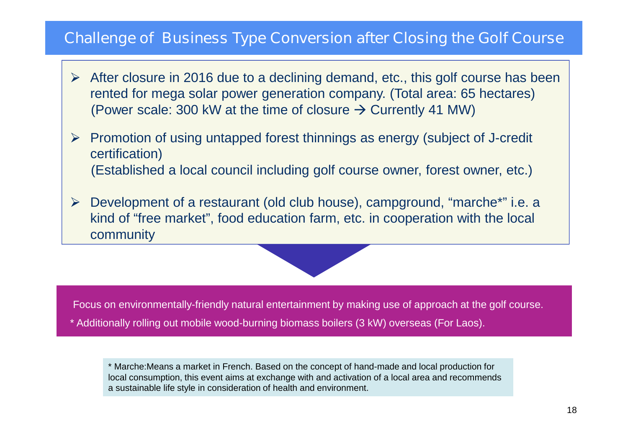#### **Challenge of Business Type Conversion after Closing the Golf Course**

- $\triangleright$  After closure in 2016 due to a declining demand, etc., this golf course has been rented for mega solar power generation company. (Total area: 65 hectares) (Power scale: 300 kW at the time of closure  $\rightarrow$  Currently 41 MW)
- $\triangleright$  Promotion of using untapped forest thinnings as energy (subject of J-credit certification) (Established a local council including golf course owner, forest owner, etc.)
- Development of a restaurant (old club house), campground, "marche\*" i.e. a  $\blacktriangleright$ kind of "free market" , food education farm, etc. in cooperation with the local community



Focus on environmentally-friendly natural entertainment by making use of approach at the golf course.

\* Additionally rolling out mobile wood-burning biomass boilers (3 kW) overseas (For Laos).

\* Marche:Means a market in French. Based on the concept of hand-made and local production for local consumption, this event aims at exchange with and activation of a local area and recommends a sustainable life style in consideration of health and environment.